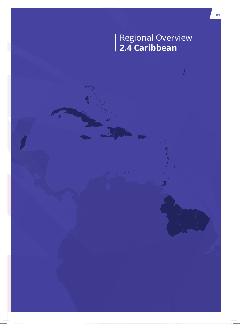# Regional Overview **2.4 Caribbean**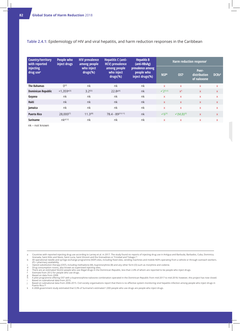### **Table 2.4.1:** Epidemiology of HIV and viral hepatitis, and harm reduction responses in the Caribbean

| Country/territory<br>with reported<br>injecting<br>drug use <sup>a</sup> | People who<br>inject drugs | <b>HIV prevalence</b><br>among people<br>who inject<br>drugs(%) | <b>Hepatitis C (anti-</b><br><b>HCV</b> ) prevalence<br>among people<br>who inject<br>drugs(%) | <b>Hepatitis B</b><br>(anti-HBsAg)<br>prevalence among<br>people who<br>inject drugs(%) | Harm reduction response <sup>i</sup> |                |                                      |              |
|--------------------------------------------------------------------------|----------------------------|-----------------------------------------------------------------|------------------------------------------------------------------------------------------------|-----------------------------------------------------------------------------------------|--------------------------------------|----------------|--------------------------------------|--------------|
|                                                                          |                            |                                                                 |                                                                                                |                                                                                         | <b>NSPb</b>                          | <b>OST</b>     | Peer-<br>distribution<br>of naloxone | <b>DCRsd</b> |
| <b>The Bahamas</b>                                                       | O <sup>[2]</sup>           | nk                                                              | nk                                                                                             | nk                                                                                      | X                                    | $\mathsf{x}$   | X                                    | X            |
| <b>Dominican Republic</b>                                                | $<$ 1,359e[3]              | $3.2^{f[3]}$                                                    | 22.8g[4]                                                                                       | nk                                                                                      | $\sqrt{25,6}$                        | x <sup>h</sup> | $\mathsf{X}$                         | $\mathsf{x}$ |
| Guyana                                                                   | nk                         | nk                                                              | nk                                                                                             | nk                                                                                      | $\mathsf{x}$                         | $\mathsf{x}$   | $\mathsf{x}$                         | X            |
| <b>Haiti</b>                                                             | nk                         | nk                                                              | nk                                                                                             | nk                                                                                      | X                                    | $\mathsf{x}$   | <b>X</b>                             | <b>X</b>     |
| Jamaica                                                                  | nk                         | nk                                                              | nk                                                                                             | nk                                                                                      | X                                    | $\mathsf{x}$   | X                                    | X            |
| <b>Puerto Rico</b>                                                       | 28,000[7]                  | $11.3^{i[8]}$                                                   | 78.4 - 89 [10,11]                                                                              | nk                                                                                      | $\sqrt{6^{[9]}}$                     | $V(M,B)^{[9]}$ | <b>X</b>                             | $\mathsf{x}$ |
| <b>Suriname</b>                                                          | $nk^{k[12]}$               | nk                                                              | nk                                                                                             | nk                                                                                      | X                                    | $\mathsf{x}$   | X                                    | X            |

nk – not known

e There are an estimated 56,632 people who use<br>f Estimate from 2012 for people who use drugs.

g Based on data from 2008.<br>h A pilot programme offerin

k A 2008 government study estimated that 0.3% of Suriname's estimated 1,000 people who use drugs are people who inject drugs.

Countries with reported injecting drug use according to Larney et al. in 2017. The study found no reports of injecting drug use in Antigua and Barbuda, Barbados, Cuba, Dominica,<br>Grenada, Saint Kitts and Nevis, Saint Lucia

<sup>(</sup>P) = pharmacy availability. c Opioid substitution therapy (OST), including methadone (M), buprenorphine (B) and any other form (O) such as morphine and codeine.

d Drug consumption rooms, also known as supervised injecting sites. e There are an estimated 56,632 people who use illegal drugs in the Dominican Republic, less than 2.4% of whom are reported to be people who inject drugs.

h A pilot programme offering OST with a buprenorphine-naloxone combination operated in the Dominican Republic from mid-2017 to mid-2018; however, this project has now closed. i Based on subnational data from 2015.

j Based on subnational data from 2006-2015. Civil society organisations report that there is no effective system monitoring viral hepatitis infection among people who inject drugs in<br>Puerto Rico.<sup>[9]</sup>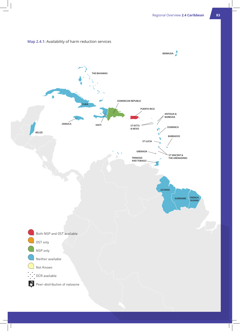

### **Map 2.4.1:** Availability of harm reduction services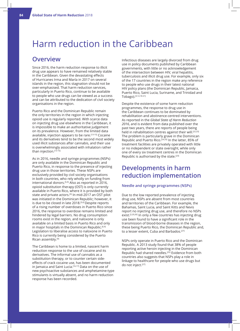# Harm reduction in the Caribbean

### **Overview**

Since 2016, the harm reduction response to illicit drug use appears to have remained relatively stable in the Caribbean. Given the devastating effects of Hurricanes Irma and María in 2017 on several islands in the region, this stagnation should not be over-emphasised. That harm reduction services, particularly in Puerto Rico, continue to be available to people who use drugs can be viewed as a success and can be attributed to the dedication of civil society organisations in the region.

Puerto Rico and the Dominican Republic remain the only territories in the region in which injecting opioid use is regularly reported. With scarce data on injecting drug use elsewhere in the Caribbean, it is impossible to make an authoritative judgement on its prevalence. However, from the limited data available, injection appears to be rare.[13-15] Cocaine and its derivatives tend to be the second most widely used illicit substances after cannabis, and their use is overwhelmingly associated with inhalation rather than injection.[13-15]

As in 2016, needle and syringe programmes (NSPs) are only available in the Dominican Republic and Puerto Rico, in response to the presence of injecting drug use in those territories. These NSPs are exclusively provided by civil society organisations in both countries, who rely wholly on funding from international donors.[5,9] Also as reported in 2016, opioid substitution therapy (OST) is only currently available in Puerto Rico, where it is provided by both state and private actors.<sup>[9]</sup> In mid-2017 an OST pilot was initiated in the Dominican Republic; however, it is due to be closed in late 2018.<sup>[5,6]</sup> Despite reports of a rising number of overdoses in Puerto Rico since 2016, the response to overdose remains limited and hindered by legal barriers. No drug consumption rooms exist in the region, and naloxone is only available on a limited basis in Puerto Rico and only in major hospitals in the Dominican Republic.<sup>[6,9]</sup> Legislation to liberalise access to naloxone in Puerto Rico is currently being considered by the Puerto Rican assembly.[9]

The Caribbean is home to a limited, nascent harm reduction response to the use of cocaine and its derivatives. The informal use of cannabis as a substitution therapy, or to counter certain sideeffects of crack cocaine use, has been documented in Jamaica and Saint Lucia.<sup>[16,17]</sup> Data on the use of new psychoactive substances and amphetamine-type stimulants is virtually absent, and no harm reduction response has been recorded.

Infectious diseases are largely divorced from drug use in policy documents published by Caribbean governments, with little or no acknowledgement of the intersection between HIV, viral hepatitis, tuberculosis and illicit drug use. For example, only six of the 17 countries in the region make any reference to people who use drugs in their latest national HIV policy plans (the Dominican Republic, Jamaica, Puerto Rico, Saint Lucia, Suriname, and Trinidad and Tobago).[3,12,18-21]

Despite the existence of some harm reduction programmes, the response to drug use in the Caribbean continues to be dominated by rehabilitation and abstinence-centred interventions. As reported in the *Global State of Harm Reduction 2016*, and is evident from data published over the past two years, there are reports of people being held in rehabilitation centres against their will.<sup>[22,23]</sup> The problem is particularly grave in the Dominican Republic and Puerto Rico.[24,25] In the latter, 85% of treatment facilities are privately operated with little or no independent or state oversight, while only one of every six treatment centres in the Dominican Republic is authorised by the state.[23]

# **Developments in harm reduction implementation**

#### **Needle and syringe programmes (NSPs)**

Due to the low reported prevalence of injecting drug use, NSPs are absent from most countries and territories of the Caribbean. For example, the Bahamas, Saint Lucia, and Saint Kitts and Nevis report no injecting drug use, and therefore no NSPs exist.<sup>[2,20,26]</sup> In only a few countries has injecting drug use been found to have a significant role in the transmission of blood-borne diseases in the region, these being Puerto Rico, the Dominican Republic and, to a lesser extent, Cuba and Barbados.<sup>[27]</sup>

NSPs only operate in Puerto Rico and the Dominican Republic. A 2013 study found that 38% of people reporting active heroin injecting in the Dominican Republic had shared needles.[25] Evidence from both countries also suggests that NSPs play a role in linkage to healthcare for people who use drugs but do not inject.[27]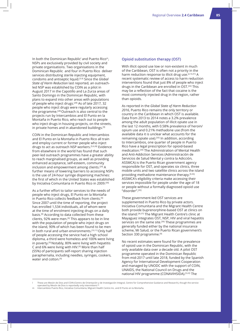In both the Dominican Republic' and Puerto Ricom, NSPs are exclusively provided by civil society and private organisations. Two organisations in the Dominican Republic and four in Puerto Rico deliver services distributing sterile injecting equipment, condoms and antiseptic liquid.[5,9] Since the *Global State of Harm Reduction* last reported, an outreachled NSP was established by COIN as a pilot in August 2017 in the Capotillo and La Zurza areas of Santo Domingo in the Dominican Republic, with plans to expand into other areas with populations of people who inject drugs.[28] As of late 2017, 32 people who inject drugs were regularly accessing the programme.[28] Outreach is also central to the projects run by Intercambios and El Punto en la Montaña in Puerto Rico, who reach out to people who inject drugs in housing projects, on the streets, in private homes and in abandoned buildings.<sup>[9]</sup>

COIN in the Dominican Republic and Intercambios and El Punto en la Montaña in Puerto Rico all train and employ current or former people who inject drugs to act as outreach NSP workers.[5,6,28] Evidence from elsewhere in the world has found that such peer-led outreach programmes have a greater ability to reach marginalised groups, as well as providing enhanced acceptance, self-esteem, community inclusion and empowerment among clients.<sup>[29]</sup> A further means of lowering barriers to accessing NSPs is the use of 24-hour syringe dispensing machines: the first of which in the United States was established by Iniciativa Comunitaria in Puerto Rico in 2009.[30]

As a further effort to tailor services to the needs of people who inject drugs, El Punto en la Montaña in Puerto Rico collects feedback from clients.[9] Since 2007 until the time of reporting, the project has enrolled 1,534 individuals, all of whom were at the time of enrolment injecting drugs on a daily basis.[9] According to data collected from these clients, 92% were men.<sup>[9]</sup> This appears to be in line with the population of people who inject drugs on the island, 90% of which has been found to be men in both rural and urban environments.<sup>[10,11]</sup> Only half of people accessing the service had a high school diploma, a third were homeless and 100% were living in poverty.[9] Notably, 80% were living with hepatitis C and 6% were living with HIV.<sup>[9]</sup> More than half (55%) of participants self-report sharing injection paraphernalia, including needles, syringes, cookers, water and cotton.<sup>[9]</sup>

### **Opioid substitution therapy (OST)**

With illicit opioid use low or non-existent in much of the Caribbean, OST is often not a priority in the harm reduction response to illicit drug use.<sup>[2,14,31]</sup> A recent systematic review of access to harm reduction interventions found that just 8% of people who inject drugs in the Caribbean are enrolled in OST.[32] This may be a reflection of the fact that cocaine is the most commonly injected drug in the region, rather than opioids.

As reported in the *Global State of Harm Reduction 2016*, Puerto Rico remains the only territory or country in the Caribbean in which OST is available. Data from 2013 to 2014 notes a 3.2% prevalence among the adult population of illicit opiate use in the last 12 months, with 0.58% prevalence of heroin/ opium use and 0.21% methadone use (from the available data it is unclear what accounts for the remaining opiate use).<sup>[33]</sup> In addition, according to Intercambios, one quarter of people in Puerto Rico have a legal prescription for opioid-based medication.[34] The Administration of Mental Health and Anti-Addiction Services (Administración de Servicios de Salud Mental y contra la Adicción, ASSMCA) is the Puerto Rican government agency responsible for OST, and operates six clinics, three mobile units and two satellite clinics across the island providing methadone maintenance therapy.[9,35] ASSMCA's eligibility criteria make accessing their services impossible for people under the age of 18 or people without a formally diagnosed opioid use "disorder".[35]

These government-led OST services are supplemented in Puerto Rico by private actors. Iniciativa Comunitaria and the Migrant Health Centre both provide buprenorphine-based OST at clinics on the island.[36,37] The Migrant Health Centre's clinic at Mayaguez integrates OST, NSP, HIV and viral hepatitis services on the same site.<sup>[36]</sup> These programmes are generally funded either by the national insurance scheme, Mi Salud, or the Puerto Rican government's Section 330 programme.<sup>[9]</sup>

No recent estimates were found for the prevalence of opioid use in the Dominican Republic, with the only available data over a decade old. A pilot OST programme operated in the Dominican Republic from mid-2017 until late 2018, funded by the Spanish Agency for International Development Cooperation and managed by UNODC with the support of COIN, UNAIDS, the National Council on Drugs and the national HIV programme (CONAVIHSIDA).[5,22] The

l These are Mesón de Dios and COIN (Centro de Orientación y de Investigación Integral, Centre for Comprehensive Guidance and Research), though the service<br>operated by Mesón de Dios is reportedly only intermittent.<sup>[6]</sup>

m Intercambios Puerto Rico, Iniciativa Comunitaria, Migrant Health Centre Inc. and El Punto en la Montaña.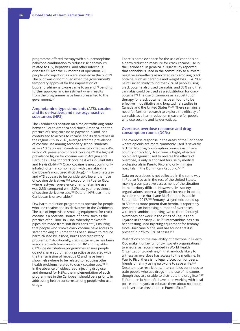programme offered therapy with a buprenorphinenaloxone combination to reduce risk behaviours related to HIV, hepatitis C and other infectious diseases.[5] Over the 12 months of operation, 70 people who inject drugs were involved in the pilot.<sup>[5]</sup> The pilot was discontinued when the government's temporary approval for the importation of buprenorphine-naloxone came to an end,[5] pending further approval and investment when results from the programme have been presented to the government.[6]

#### **Amphetamine-type stimulants (ATS), cocaine and its derivatives and new psychoactive substances (NPS)**

The Caribbean's position on a major trafficking route between South America and North America, and the practice of using cocaine as payment in kind, has contributed to access to cocaine and its derivatives in the region.[27,38] In 2016, average lifetime prevalence of cocaine use among secondary school students across 13 Caribbean countries was recorded as 2.4%, with 2.2% prevalence of crack cocaine.<sup>[15]</sup> The highest prevalence figure for cocaine was in Antigua and Barbuda (3.3%); for crack cocaine it was in Saint Kitts and Nevis (3.4%).[15] Crack cocaine is most commonly inhaled, often in combination with cannabis (the Caribbean's most used illicit drug).[15,27] Use of ecstasy and ATS appears to be considerably lower than use of cocaine derivatives,<sup>[15]</sup> except for in Puerto Rico, where last-year prevalence of amphetamine use was 2.5% compared with 2.2% last-year prevalence of cocaine derivative use.<sup>[39]</sup> Data on NPS use in the Caribbean is unavailable.<sup>[5]</sup>

Few harm reduction programmes operate for people who use cocaine and its derivatives in the Caribbean. The use of improvised smoking equipment for crack cocaine is a potential source of harm, such as the practice of "bullino" in Cuba, whereby makeshift pipes are made from soft drink cans.[40,41] Ensuring that people who smoke crack cocaine have access to safer smoking equipment has been shown to reduce harm caused by lesions, burns and respiratory problems.[42] Additionally, crack cocaine use has been associated with transmission of HIV and hepatitis C.[43] Pipe distribution programmes ensure people do not share equipment (a practice associated with the transmission of hepatitis C) and have been shown elsewhere to be related to reducing other health problems related to crack cocaine use.<sup>[44,45]</sup> In the absence of widespread injecting drug use and demand for NSPs, the implementation of such programmes in the Caribbean should be a priority in addressing health concerns among people who use drugs.

There is some evidence for the use of cannabis as a harm reduction measure for crack cocaine use in the Caribbean. In Jamaica, a 2002 study reported that cannabis is used in the community to alleviate negative side-effects associated with smoking crack cocaine, such as paranoia and weight loss.[17] A 2007 Saint Lucian study found that 73% of people using crack cocaine also used cannabis, and 38% said that cannabis could be used as a substitution for crack cocaine.[46] The use of cannabis as a substitution therapy for crack cocaine has been found to be effective in qualitative and longitudinal studies in Canada and the United States.[47,48] There remains a need for further research to explore the efficacy of cannabis as a harm reduction measure for people who use cocaine and its derivatives.

#### **Overdose, overdose response and drug consumption rooms (DCRs)**

The overdose response in the areas of the Caribbean where opioids are more commonly used is severely lacking. No drug consumption rooms exist in any country or territory. Naloxone, a highly effective opioid antagonist used to reverse the effects of overdose, is only authorised for use by medical professionals in Puerto Rico and only in major hospitals in the Dominican Republic.<sup>[6,9,49]</sup>

Data on overdoses is not collected in the same way in Puerto Rico as in the rest of the United States, making a comparative assessment of the situation in the territory difficult. However, civil society organisations report a significant increase in opioid overdose since Hurricane María hit the island in September 2017.<sup>[50]</sup> Fentanyl, a synthetic opioid up to 50 times more potent than heroin, is reportedly present in an increasing number of overdoses, with Intercambios reporting two to three fentanyl overdoses per week in the cities of Caguas and Fajardo in February 2018.[50] Intercambios has also been testing used injecting equipment for fentanyl since Hurricane María, and has found that it is present in 77% to 90% of cases.<sup>[50]</sup>

Restrictions on the availability of naloxone in Puerto Rico make it unlawful for civil society organisations to ensure, as recommended in World Health Organization guidelines,<sup>[51]</sup> that anybody likely to witness an overdose has access to the medicine. In Puerto Rico, there is no legal protection for peers, friends or family using naloxone to save a life.<sup>[50]</sup> Despite these restrictions, Intercambios continues to train people who use drugs in the use of naloxone, though they are unable to distribute the drug itself.[50] El Punto en la Montaña have been working with local police and mayors to educate them about naloxone and overdose prevention in Puerto Rico.[9]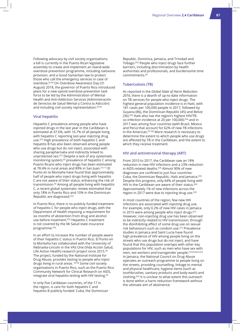Following advocacy by civil society organisations, a bill is currently in the Puerto Rican legislative assembly to create and implement an island-wide overdose prevention programme, including naloxone provision, and a Good Samaritan law to protect those who call the emergency services in case of overdose.[9,50] On Overdose Awareness Day (31 August) 2018, the governor of Puerto Rico introduced plans for a new opioid overdose prevention task force to be led by the Administration of Mental Health and Anti-Addiction Services (Administración de Servicios de Salud Mental y Contra la Adicción) and including civil society representation.<sup>[9,50]</sup>

#### **Viral hepatitis**

Hepatitis C prevalence among people who have injected drugs in the last year in the Caribbean is estimated at 47.6%, with 16.7% of all people living with hepatitis C reporting last-year injecting drug use.[52] High prevalence of both hepatitis C and hepatitis B has also been observed among people who use drugs but do not inject, associated with sharing paraphernalia and indirectly linked to unprotected sex.[27] Despite a lack of any systematic monitoring system,[9] prevalence of hepatitis C among Puerto Ricans who inject drugs has been estimated at 78.4% in rural areas and 89% in San Juan.[10,11] El Punto en la Montaña have found that approximately half of people who inject drugs living with hepatitis C are not aware of their status, enhancing the risk of transmission.[9] Among all people living with hepatitis C, a recent global systematic review estimated that only 18% in Puerto Rico and 10% in the Dominican Republic are diagnosed.[52]

In Puerto Rico, there is no publicly funded treatment of hepatitis C for people who inject drugs, with the Department of Health imposing a requirement for six months of abstention from drug and alcohol use before treatment.<sup>[53]</sup> Hepatitis C treatment is not covered by the Mi Salud state insurance programme.[53]

In an effort to increase the number of people aware of their hepatitis C status in Puerto Rico, El Punto en la Montaña has collaborated with the University of Nebraska-Lincoln in the VAS One (Vida Acción Salud, Life Action Health) research project since 2015.[9] The project, funded by the National Institute for Drug Abuse, provides testing to people who inject drugs living in rural areas. [9,54] Some civil society organisations in Puerto Rico, such as the Puerto Rico Community Network for Clinical Research on AIDS, integrate viral hepatitis testing with HIV testing.<sup>[9]</sup>

In only five Caribbean countries, of the 17 in the region, is care for both hepatitis C and hepatitis B publicly funded: Cuba, the Dominican Republic, Dominica, Jamaica, and Trinidad and Tobago.[55] People who inject drugs face further barriers, including discrimination by health authorities and professionals, and burdensome time commitments.[9]

#### **Tuberculosis (TB)**

As reported in the *Global State of Harm Reduction 2016*, there is a dearth of up-to-date information on TB services for people who inject drugs. The highest general population incidence is in Haiti, with 181 cases per 100,000 people in 2017, followed by Guyana (86), the Dominican Republic (45) and Belize (36).[56] Haiti also has the region's highest HIV/TB co-infection incidence at 20 per 100,000,[56] and in 2017 was among four countries (with Brazil, Mexico and Peru) that account for 62% of new TB infections in the Americas.[57,58] More research is necessary to determine the extent to which people who use drugs are affected by TB in the Caribbean, and the extent to which they receive treatment.

#### **HIV and antiretroviral therapy (ART)**

From 2010 to 2017, the Caribbean saw an 18% reduction in new HIV infections and a 23% reduction in AIDS-related deaths.<sup>[59]</sup> Almost 90% of new diagnoses are confined to just four countries: Cuba, the Dominican Republic, Haiti and Jamaica.<sup>[59]</sup> Despite this progress, only 64% of people living with HIV in the Caribbean are aware of their status.[60] Approximately 1% of new infections across the region in 2017 were due to injecting drug use.<sup>[59]</sup>

In most countries of the region, few new HIV infections are associated with injecting drug use. For example, only 0.2% of new HIV cases in Jamaica in 2015 were among people who inject drugs.<sup>[61]</sup> However, non-injecting drug use has been observed to be indirectly related to HIV transmission, through the disinhibiting effect of some drug use on sexual risk behaviours such as condom use.[27] Prevalence studies in Jamaica and Saint Lucia have found high prevalence of HIV among people living on the streets who use drugs but do not inject, and have found that this population overlaps with other key populations for HIV, such as men who have sex with men, sex workers and transgender people.<sup>[18,20,38,62,63]</sup> In Jamaica, the National Council on Drug Abuse operates an outreach programme to people living on the streets, providing counselling, linkage to mental and physical healthcare, hygiene items (such as toothbrushes, sanitary products and body wash) and clothing.[62] It is unclear to what extent this outreach is done within a harm reduction framework without the ultimate aim of abstinence.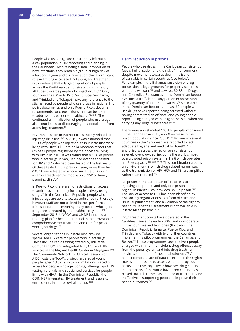People who use drugs are consistently left out as a key population in HIV reporting and planning in the Caribbean. Despite being a small proportion of new infections, they remain a group at high risk of infection. Stigma and discrimination play a significant role in limiting access to HIV testing and treatment, with evidence that a large proportion of people across the Caribbean demonstrate discriminatory attitudes towards people who inject drugs.[59] Only four countries (Puerto Rico, Saint Lucia, Suriname, and Trinidad and Tobago) make any reference to the stigma faced by people who use drugs in national HIV policy documents, and only Puerto Rico's document recommends concrete actions that can be taken to address this barrier to healthcare.<sup>[12,19-21]</sup> The continued criminalisation of people who use drugs also contributes to discouraging this population from accessing treatment.<sup>[5]</sup>

HIV transmission in Puerto Rico is mostly related to injecting drug use.<sup>[24]</sup> In 2015, it was estimated that 11.3% of people who inject drugs in Puerto Rico were living with HIV;[8] El Punto en la Montaña report that 6% of all people registered by their NSP are living with HIV.[9] In 2015, it was found that 89.5% of people who inject drugs in San Juan had ever been tested for HIV and 42.4% had been tested in the last year.[8] Of those tested in the previous year, more than half (50.7%) were tested in a non-clinical setting (such as an outreach centre, mobile unit, NSP or family planning clinic).[8]

In Puerto Rico, there are no restrictions on access to antiretroviral therapy for people actively using drugs.[9] In the Dominican Republic, people who inject drugs are able to access antiretroviral therapy, however staff are not trained in the specific needs of this population, meaning many people who inject drugs are alienated by the healthcare system.[5] In September 2018, UNODC and UNDP launched a training plan for health personnel in the provision of comprehensive HIV treatment and care for people who inject drugs.<sup>[5]</sup>

Several organisations in Puerto Rico provide specialised HIV care for people who inject drugs. These include rapid testing offered by Iniciativa Comunitaria,[37] and integrated NSP, OST and HIV services at the Migrant Health Center in Mayaguez.[36] The Community Network for Clinical Research on AIDS hosts the Tod@s project targeted at young people (aged 13 to 29) with no limitations placed on access for people who inject drugs, offering rapid HIV testing, referrals and specialised services for people living with HIV.[64] In the Dominican Republic, the COIN NSP integrates HIV treatment, and is able to enrol clients in antiretroviral therapy.<sup>[28]</sup>

#### **Harm reduction in prisons**

People who use drugs in the Caribbean consistently face criminalisation and the risk of imprisonment, despite movement towards decriminalisation of cannabis in certain countries (see below). For example, in the Bahamas suspicion of drug possession is legal grounds for property searches without a warrant,<sup>[65]</sup> and Law No. 50-88 on Drugs and Controlled Substances in the Dominican Republic classifies a trafficker as any person in possession of any quantity of opium derivatives.[5] Since 2017 in the Dominican Republic, at least 60 people who use drugs have reported being arrested without having committed an offence, and young people report being charged with drug possession when not carrying any illegal substances.[22,66]

There were an estimated 109,176 people imprisoned in the Caribbean in 2016, a 22% increase in the prison population since 2005.[67,68] Prisons in several countries in the Caribbean are reported to lack adequate hygiene and medical facilities<sup>[65,69-71]</sup> and prisons across the region are consistently severely overcrowded, including the world's most overcrowded prison system in Haiti which operates at 454% capacity.[65,66,69,71-74] This combination creates an environment in which drug-related harms, such as the transmission of HIV, HCV and TB, are amplified rather than reduced.<sup>[75]</sup>

No prison in the Caribbean offers access to sterile injecting equipment, and only one prison in the region, in Puerto Rico, provides OST in prison.[5,9] The lack of access to OST has been identified by civil society organisations as a form of cruel and unusual punishment, and a violation of the right to health.[76] Hepatitis C treatment is not available in Puerto Rican prisons.[9,77]

Drug treatment courts have operated in the Caribbean since the early 2000s, and now operate in five countries and territories (Barbados, the Dominican Republic, Jamaica, Puerto Rico, and Trinidad and Tobago) with two further countries implementing pilot programmes (the Bahamas and Belize).[78] These programmes seek to divert people charged with minor, non-violent drug offences away from the penal system and into drug treatment services, and tend to focus on abstinence.<sup>[78]</sup> An almost complete lack of data collection in the region makes it impossible to assess whether drug courts achieve their set objectives; however, drug courts in other parts of the world have been criticised as biased towards those least in need of treatment and ineffective in supporting people to improve their health outcomes.[78]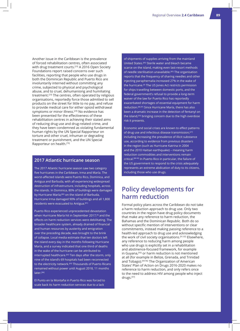Another issue in the Caribbean is the prevalence of forced rehabilitation centres, often associated with drug treatment courts.<sup>[23]</sup> A 2016 Open Society Foundations report raised concerns over such facilities, reporting that people who use drugs in both the Dominican Republic and Puerto Rico are involuntarily interned without committing any crime, subjected to physical and psychological abuse, and to cruel, dehumanising and humiliating treatment.[23] The centres, often operated by religious organisations, reportedly force those admitted to sell products on the street for little to no pay, and refuse to provide medical care for either opioid withdrawal symptoms or minor illness.<sup>[23]</sup> No evidence has been presented for the effectiveness of these rehabilitation centres in achieving their stated aims of reducing drug use and drug-related crime, and they have been condemned as violating fundamental human rights by the UN Special Rapporteur on torture and other cruel, inhuman or degrading treatment or punishment, and the UN Special Rapporteur on health.[79]

### **2017 Atlantic hurricane season**

The 2017 Atlantic hurricane season saw two category five hurricanes in the Caribbean, Irma and María. The worst-affected islands were Puerto Rico, Dominica, and Antigua and Barbuda, with all experiencing widespread destruction of infrastructure, including hospitals, across the islands. In Dominica, 80% of buildings were damaged by Hurricane María;<sup>[80]</sup> on the island of Barbuda, Hurricane Irma damaged 90% of buildings and all 1,800 residents were evacuated to Antigua.<sup>[81]</sup>

Puerto Rico experienced unprecedented devastation when Hurricane María hit in September 2017,<sup>[9]</sup> and the effects on harm reduction services were debilitating. The broader healthcare system, already drained of financial and human resources by austerity and emigration over the preceding decade, was brought to the brink of collapse. Local media estimate that ten doctors left the island every day in the months following Hurricane María, and a survey indicated that one third of deaths in the wake of the hurricane can be attributed to interrupted healthcare.[82] Ten days after the storm, only nine of the island's 69 hospitals had been reconnected to the electricity network.<sup>[83]</sup> Thousands of Puerto Ricans remained without power until August 2018, 11 months later.[84]

El Punto en la Montaña in Puerto Rico was forced to scale back its harm reduction services due to a lack

of shipments of supplies arriving from the mainland United States.[85] Sterile water and bleach became scarce on the island, making even last-resort methods of needle sterilisation unavailable.[85] The organisation reports that the frequency of sharing needles and other injecting paraphernalia increased 27% in the wake of the hurricane.<sup>[9]</sup> The US Jones Act restricts permission for ships travelling between domestic ports, and the federal government's refusal to provide a long-term waiver of the law for Puerto Rico has reportedly exacerbated shortages of essential equipment for harm reduction.[86,87] Since Hurricane María, there has also been a dramatic increase in the detection of fentanyl on the island,<sup>[50]</sup> bringing concern due to the high overdose risk it presents.

Economic and social crises are known to effect patterns of drug use and infectious disease transmission,<sup>[27]</sup> including increasing the prevalence of illicit substance use, according to evidence from previous disasters in the region (such as Hurricane Katrina in 2004 and the 2010 Haitian earthquake) – meaning harm reduction commodities and interventions remain critical.[88-90] In Puerto Rico in particular, the failure of the US government to respond to the crisis adequately represents an extreme abdication of duty to its citizens, including those who use drugs.

# **Policy developments for harm reduction**

Formal policy plans across the Caribbean do not take a harm reduction approach to drug use. Only two countries in the region have drug policy documents that make any reference to harm reduction, the Bahamas and the Dominican Republic. Both do so without specific mention of interventions or clear commitments, instead making passing reference to a health-led approach to drug use and acknowledging the work of civil society organisations.[91,92] Elsewhere, any reference to reducing harm among people who use drugs is explicitly set in a rehabilitation and abstinence-focused framework, for example in Guyana,<sup>[93]</sup> or harm reduction is not mentioned at all (for example in Belize, Grenada, and Trinidad and Tobago).[94-96] The Organization of American States' Plan of Action on Drugs 2016-2020 makes no reference to harm reduction, and only refers once to the need to address HIV among people who inject drugs.[97]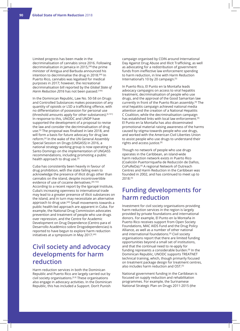Limited progress has been made in the decriminalisation of cannabis since 2016. Following decriminalisation in Jamaica in 2015,[98] the prime minister of Antigua and Barbuda announced his intention to decriminalise the drug in 2018.[99] In Puerto Rico, cannabis was legalised for medical purposes in 2017; however, the recreational decriminalisation bill reported by the *Global State of*  Harm Reduction 2016 has not been passed.<sup>[100]</sup>

In the Dominican Republic, Law No. 50-58 on Drugs and Controlled Substances makes possession of any quantity of opioids or LSD a trafficking offence, with no differentiation of possession for personal use (threshold amounts apply for other substances).<sup>[6,101]</sup> In response to this, UNODC and UNDP have supported the development of a proposal to revise the law and consider the decriminalisation of drug use.[5] The proposal was finalised in late 2018, and will form a basis for future advocacy for drug law reform.[6] In the wake of the UN General Assembly Special Session on Drugs (UNGASS) in 2016, a national strategy working group is now operating in Santo Domingo on the implementation of UNGASS recommendations, including promoting a public health approach to drug use.<sup>[5]</sup>

Cuba has consistently been heavily in favour of drug prohibition, with the state failing even to acknowledge the presence of illicit drugs other than cannabis on the island, despite incontrovertible evidence of use of cocaine derivatives.<sup>[40,102]</sup> According to a recent report by the Igarapé Institute, Cuba's increasing openness to international trade may lead to a greater presence of illicit substances on the island, and in turn may necessitate an alternative approach to drug use.<sup>[40]</sup> Small movements towards a public health-led approach are apparent in Cuba. For example, the National Drug Commission advocates prevention and treatment of people who use drugs over repression, and the Centre for Academic Development on Drug Dependence (Centro para el Desarrollo Académico sobre Drogodependencias) is reported to have begun to explore harm reduction initiatives at a symposium in May 2017.<sup>[40]</sup>

# **Civil society and advocacy developments for harm reduction**

Harm reduction services in both the Dominican Republic and Puerto Rico are largely carried out by civil society organisations.[5,9] These organisations also engage in advocacy activities. In the Dominican Republic, this has included a Support. Don't Punish

campaign organised by COIN around International Day Against Drug Abuse and Illicit Trafficking, as well as advocating for a redistribution of government funds from ineffective law enforcement spending to harm reduction, in line with Harm Reduction International's 10 by 20 campaign.<sup>[5]</sup>

In Puerto Rico, El Punto en la Montaña leads advocacy campaigns on access to viral hepatitis treatment, decriminalisation of people who use drugs, and the approval of the Good Samaritan law currently in front of the Puerto Rican assembly.<sup>[9]</sup> The viral hepatitis campaign achieved national media attention and the creation of a National Hepatitis C Coalition, while the decriminalisation campaign has established links with local law enforcement.<sup>[9]</sup> El Punto en la Montaña has also disseminated promotional material raising awareness of the harms caused by stigma towards people who use drugs, and worked with the American Civil Liberties Union to assist people who use drugs to understand their rights and access justice.[9]

Though no network of people who use drugs operates in the Caribbean, an island-wide harm reduction network exists in Puerto Rico (Coalición Puertorriqueña de Reducción de Daños, CoPuReDa).[9] A regional Network of Outreach Centres and Harm Reduction in the Caribbean was founded in 2002, and has continued to meet up to 2018.[5]

# **Funding developments for harm reduction**

Investment for civil society organisations providing harm reduction services in the region is largely provided by private foundations and international donors. For example, El Punto en la Montaña in Puerto Rico receives support from Open Society Foundations, MAC AIDS Fund and the Drug Policy Alliance, as well as a number of other national and international foundations.[9] Civil society organisations report that there are limited funding opportunities beyond a small set of institutions, and that the continual need to re-apply for funding represents a considerable burden.[9] In the Dominican Republic, UNODC supports TREATNET technical training, which, though primarily focused on treatment package design for treatment centres, also includes harm reduction and OST.<sup>[5]</sup>

National government funding in the Caribbean is focused on supply reduction and rehabilitation programmes. For example, the Surinamese National Strategic Plan on Drugs 2011-2015 (the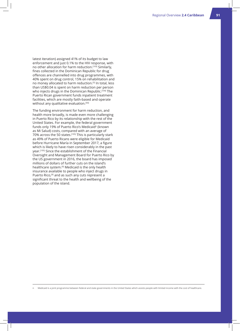latest iteration) assigned 41% of its budget to law enforcement and just 0.1% to the HIV response, with no other allocation for harm reduction.<sup>[103]</sup> Similarly, fines collected in the Dominican Republic for drug offences are channelled into drug programmes, with 40% spent on drug control, 15% on rehabilitation and no money allocated to harm reduction.[5] In total, less than US\$0.04 is spent on harm reduction per person who injects drugs in the Dominican Republic.<sup>[104]</sup> The Puerto Rican government funds inpatient treatment facilities, which are mostly faith-based and operate without any qualitative evaluation.<sup>[50]</sup>

The funding environment for harm reduction, and health more broadly, is made even more challenging in Puerto Rico by its relationship with the rest of the United States. For example, the federal government funds only 19% of Puerto Rico's Medicaid<sup>n</sup> (known as Mi Salud) costs, compared with an average of 70% across the 50 states.<sup>[105]</sup> This is particularly stark as 49% of Puerto Ricans were eligible for Medicaid before Hurricane María in September 2017, a figure which is likely to have risen considerably in the past year.[105] Since the establishment of the Financial Oversight and Management Board for Puerto Rico by the US government in 2016, the board has imposed millions of dollars of further cuts on the island's healthcare system.<sup>[9]</sup> Medicaid is the only health insurance available to people who inject drugs in Puerto Rico,<sup>[9]</sup> and as such any cuts represent a significant threat to the health and wellbeing of the population of the island.

n Medicaid is a joint programme between federal and state governments in the United States which assists people with limited income with the cost of healthcare.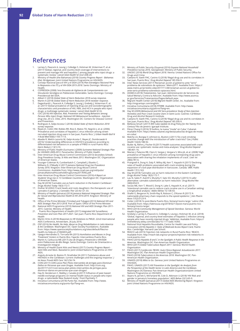## **References**

- 1. Larney S, Peacock A, Leung J, Colledge S, Hickman M, Vickerman P, et al. (2017) 'Global, regional, and country-level coverage of interventions to prevent and manage HIV and hepatitis C among people who inject drugs: a systematic review.' *Lancet Glob Health* 5(12):e1208-20.
- 2. Ministry of Health (the Bahamas) (2018) *Country Progress Report Bahamas (the)*. Bridgetown: Joint United Nations Programme on HIV/AIDS.
- 3. Consejo Nacional para el VIH y el SIDA (2014) *Plan Estratégico Nacional Para la Respuesta a las ITS y al VIH-SIDA 2015-2018*. Santo Domingo: Ministry of Health.
- 4. COPRESIDA (2008) *1era Encuesta de Vigilancia de Comportamiento con Vinculación Serológica en Poblaciones Vulnerables*. Santo Domingo: Consejo Presidencial del SIDA.
- 5. Alibert C (2018) *Global State of Harm Reduction 2018 survey response*. 6. Martin A (2018) *Global State of Harm Reduction 2018 reviewer response*.
- 7. Degenhardt L, Peacock A, Colledge S, Leung J, Grebely J, Vickerman P, et al. (2017) 'Global prevalence of injecting drug use and sociodemographic characteristics and prevalence of HIV, HBV, and HCV in people who inject
- 8. CDC (2018) *HIV Infection, Risk, Prevention and Testing Behaviors among Persons Who Inject Drugs: National HIV Behavioural Surveillance Injection Drug Use, 20 U.S. Cities, 2015.* Washington DC: Centers for Disease Control and Prevention.
- 9. Rodriguez A, Gelpi-Acosta C (2018) *Global State of Harm Reduction 2018 survey response*.
- 10. Reyes JC, Colón HM, Robles RR, Rios E, Matos TD, Negrón J, et al. (2006) 'Prevalence and correlates of hepatitis C virus infection among streetrecruited injection drug users in San Juan, Puerto Rico.*' J Urban Health Bull N*<br>Y *Acad Med* 83(6):1105-1113.<br>11. Abadie R, Welch-Lazoritz M, Gelpi-Acosta C, Reyes JC, Dombrowski K
- (2016) 'Understanding differences in HIV/HCV prevalence according to differentiated risk behaviors in a sample of PWID in rural Puerto Rico.' *Harm Reduct J* 13(1):10.
- 12. Ministry of Public Health (Suriname ) (2009) *Suriname National Strategic Plan*<br> *for HIVAIDS 2009-2013.* Paramaribo: Ministry of Public Health.<br>13. Inter-American Drug Abuse Control Commission (2013) *Second*
- *Drug Prevalence Survey, St Kitts and Nevis 2013*. Washington DC: Organization of American States.
- 14. Younger-Coleman N, Cumberbatch C, Campbell J, Ebanks C, Williams D, O'Meally V (2017) *Jamaica National Drug Use Prevalence*<br>*Survey 2016.* Kingston: Inter-American Drug Abuse Control<br>Commission. Available from: http://www.cicad.oas.org/oid/pubs/
- JamaicaNationalHouseholdDrugSurvey2017ENG.pdf. 15. Inter-American Drug Abuse Control Commission (2016) *A Report on Students' Drug Use in 13 Caribbean Countries*. Washington DC: Organization of American States.
- 16. Day M (2018) 'Cannabis use as harm reduction in the Eastern Caribbean.' *Drugs Alcohol Today* 18(3):172-7.
- 17. Dreher M (2002) 'Crack heads and roots daughters: the therapeutic use of<br>cannabis in Jamaica.' J Cannabis Ther 2(3-4):121-33.<br>18. Ministry of Health (Jamaica) (2014) Jamaica National Integrated Strategic Plan<br>for Sexua
- Health.
- 19. Office of the Prime Minister (Trinidad and Tobago) (2013) *National HIV and AIDS Strategic Plan 2013-2018*. Port of Spain: Office of the Prime Minister. 20. National AIDS Programme (2010) *National HIV and AIDS Strategic Plan 2011-*
- 
- *2015*. Castries: Ministry of Health. 21. Puerto Rico Department of Health (2017) *Integrated HIV Surveillance, Prevention and Care Plan 2017-2021*. San Juan: Puerto Rico Department of Health
- 22. Martin Ortiz A (2018) *Responses to HR Violations to PWUD*. 22nd International AIDS Conference, Amsterdam, 26 July 2018.
- 23. OSF (2016) No Health, No Help: Abuse as Drug Rehabilitation in Latin America<br>& the Caribbean. Washington DC: Open Society Foundations. Available<br>from: https://www.opensocietyfoundations.org/sites/default/files/no-<br>heal
- 24. Upegui-Hernández D, Torruela RA (2015) *Humiliation and Abuses in Drug 'Treatment' Centers in Puerto Rico*. Fajardo: Intercambios Puerto Rico.
- 25. Martin A, Carbuccia ME (2017) *Uso de Drogas y Prevención e VIH/SIDA entre Poblaciones de Alto Riesgo*. Santo Domingo: Centro de Orientación e Investigación Integral.
- 26. Ministry of Health (Saint Kitts and Nevis) (2017) *Country Progress Report Saint Kitts and Nevis*. Basseterre: Joint United Nations Programme on HIV/ AIDS.
- 27. Angulo-Arreola IA, Bastos FI, Strathdee SA (2011) 'Substance abuse and HIV/AIDS in the Caribbean: current challenges and the ongoing response.' *J*
- *Int Assoc Provid AIDS Care* 16(1):56-74. 28. COIN (2017) C*OIN Lanza Plan Piloto Intercambio de Jeringas para Disminuir Daños en Personas que usan Drogas*. Available from: http://coin.org. do/2017/12/21/coin-lanza-plan-piloto-intercambio-de-jeringas-para-
- disminuir-danos-en-personas-que-usan-drogas/<br>29. Hay B, Henderson C, Maltby J, Canales JJ (2017) 'Influence of peer-based<br>needle exchange programs on mental health status in people who inject<br>drugs: a nationwide New Zealan
- 30. Iniciativa Comunitaria (2018) *Punto Fijo*. Available from: http://www. iniciativacomunitaria.org/punto-fijo/?lang=en.
- 31. Ministry of Public Security (Guyana) (2016) *Guyana National Household Prevalence Survey 2016*. Georgetown: Ministry of Public Security.
- 32. UNODC (2018) *World Drug Report 2018*. Vienna: United Nations Office for
- Drugs and Crime.<br>
33. Caetano R, Vaeth PAC, Canino G (2018) 'Illegal drug use and its correlates in<br>
San Juan, Puerto Rico.' Drug Alcohol Depend 185:356-9.<br>
34. Inter News Services (2017) 'Reclaman acción al gobierno ante
- www.metro.pr/pr/estilo-vida/2017/11/28/reclaman-accion-al-gobierno-ante-serio-problema-sobredosis-opiaceos.html.
- 35. ASSMCA (2018) *Tratamientos*. San Juan: Administración de Servicios de Salud Mental y Contra la Adicción. Available from: http://www.assmca.
- pr.gov/Servicios/Tratamientos/Pages/default.aspx. 36. Migrant Health Center (2018) *Migrant Health Center, Inc*. Available from: http://migrantspr.com/english/. 37. Iniciativa Comunitaria (2018) *PITIRRE*. Available from: http://www.
	- iniciativacomunitaria.org/pitirre/?lang=en. 38. Day M (2009) *Behavioural and HIV Sero-prevalence Study of Non-Injection*
	- *Homeless and Poor Crack Cocaine Users in Saint Lucia*. Castries: Caribbean Drug and Alcohol Research Institute.
	- 39. Caetano R, Vaeth PAC, Canino G (2018) 'Illegal drug use and its correlates in San Juan, Puerto Rico.' *Drug Alcohol Depend* 185:356-9.
	- 40. Bellezza-Smull I (2017) *Will Cuba Update its Drug Policy for the Twenty First Century?* Rio de Janeiro: Igarapé Institute. 41. Pérez Chang E (2016) 'El bullino, la nueva "moda" en Cuba.' Cubanet*.*
	- Available from: https://www.cubanet.org/destacados/las-drogas-de-modaen-cuba/.
	- 42. Malchy LA, Bungay V, Johnson JL, Buxton J (2011) 'Do crack smoking practices change with the introduction of safer crack kits?' *Can J Public Health* 102(3):188-92.
	- 43. Butler AJ, Rehm J, Fischer B (2017) 'Health outcomes associated with crackcocaine use: systematic review and meta-analyses.' *Drug Alcohol Depend* 180:401-16.
	- 44. Macías J, Palacios RB, Claro E, Vargas J, Vergara S, Mira JA, et al. (2008) 'High prevalence of hepatitis C virus infection among noninjecting drug users: association with sharing the inhalation implements of crack.' *Liver Int* 28(6):781-6.
	- 45. Prangnell A, Dong H, Daly P, Milloy MJ, Kerr T, Hayashi K (2017) 'Declining rates of health problems associated with crack smoking during the expansion of crack pipe distribution in Vancouver, Canada.' *BMC Public Health* 17(1):163.
	- 46. Day M (2018) 'Cannabis use as harm reduction in the Eastern Caribbean.' *Drugs Alcohol Today* 18(3):172-7. 47. Lau N, Sales P, Averill S, Murphy F, Sato SO, Murphy S (2015) 'A safer
	- alternative: cannabis substitution as harm reduction.' *Drug Alcohol Rev* 34(6):654-9.
	- 48. Socías ME, Kerr T, Wood E, Dong H, Lake S, Hayashi K, et al. (2017) 'Intentional cannabis use to reduce crack cocaine use in a Canadian setting: a longitudinal analysis.' *Addict Behav* 72:138-43.
	- 49. Shafer E, Bergeron N, Smith-Ray R, Robson C, O'Koren R (2017) 'A nationwide pharmacy chain responds to the opioid epidemic.' *J Am Pharm Assoc* 57(2):S123-9.
	- 50. Cotler J (2018) 'In post-María Puerto Rico, fentanyl looms large.' Latino USA. Available from: https://latinousa.org/2018/02/13/post-maria-puerto-ricofentanyl-looms-large/.
	- 51. WHO (2014) *Community Management of Opioid Overdose*. Geneva: World Health Organization.
	- 52. Grebely J, Larney S, Peacock A, Colledge S, Leung J, Hickman M, et al. (2018) 'Global, regional, and country-level estimates of hepatitis C infection among people who have recently injected drugs.' *Addiction.* Available from: https:// onlinelibrary.wiley.com/doi/abs/10.1111/add.14393.
	- 53. National Viral Hepatitis Roundtable, Centre for Health Law and Policy Innovation (2018) *Hepatitis C: State of Medicaid Access Report Card, Puerto Rico*. Cambridge: Harvard Law School. 54. REACH Lab (2015) 'Injection risk networks in Rural Puerto Rico.' REACH.
	- Available from: http://reach-lab.org/our-projects/injection-risk-networks-inrural-puerto-rico/.
	- 55. PAHO (2016) *Hepatitis B and C in the Spotlight: A Public Health Response in the Americas.* Washington DC: Pan-American Health Organization.
	- 56. WHO (2017) *Global Tuberculosis Report 2017*. Geneva: World Health Organization
	- 57. PAHO (2017) C*oinfección TB/VIH. Guía Clínica Regional: Actualización 2017*.
	- Washington DC: Pan-American Health Organization.<br>58. PAHO (2018*) Tuberculosis in the Americas 2018*. Washington DC: Pan-<br>American Health Organization.
	- 59. UNAIDS (2018) *Miles to Go*. Geneva: Joint United Nations Programme on HIV/AIDS.
	- 60. PAHO, UNAIDS (2017) *HIV Prevention in the Spotlight: An Analysis from the Perspective of the Health Sector in Latin America and the Caribbean*. Washington DC/Geneva: Pan American Health Organization/Joint United Nations Programme on HIV/AIDS.
	- 61. Skyers N, Jarrett S, McFarland W, Cole D, Atkinson U (2018) 'HIV Risk and<br>1953 gender in Jamaica's homeless population.' *AIDS Behav 22*(1):65-9.<br>62. Ministry of Health (Jamaica) (2017) G*lobal AIDS Monitoring*
	- Joint United Nations Programme on HIV/AIDS.